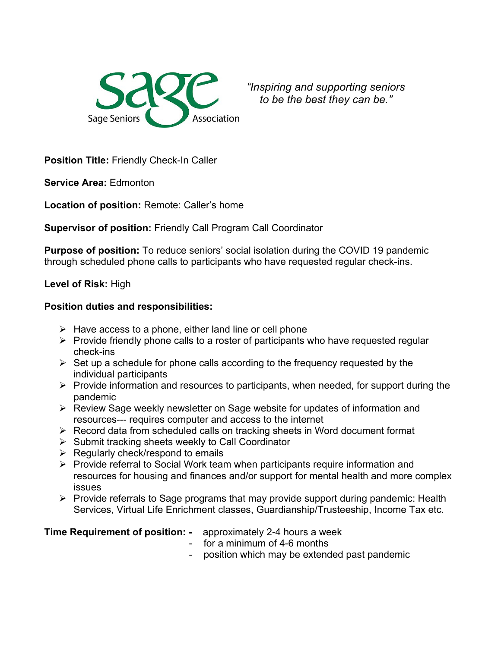

*"Inspiring and supporting seniors to be the best they can be."*

**Position Title:** Friendly Check-In Caller

**Service Area:** Edmonton

**Location of position:** Remote: Caller's home

**Supervisor of position:** Friendly Call Program Call Coordinator

**Purpose of position:** To reduce seniors' social isolation during the COVID 19 pandemic through scheduled phone calls to participants who have requested regular check-ins.

## **Level of Risk:** High

## **Position duties and responsibilities:**

- $\triangleright$  Have access to a phone, either land line or cell phone
- $\triangleright$  Provide friendly phone calls to a roster of participants who have requested regular check-ins
- $\triangleright$  Set up a schedule for phone calls according to the frequency requested by the individual participants
- $\triangleright$  Provide information and resources to participants, when needed, for support during the pandemic
- Review Sage weekly newsletter on Sage website for updates of information and resources--- requires computer and access to the internet
- $\triangleright$  Record data from scheduled calls on tracking sheets in Word document format
- $\triangleright$  Submit tracking sheets weekly to Call Coordinator
- $\triangleright$  Regularly check/respond to emails
- $\triangleright$  Provide referral to Social Work team when participants require information and resources for housing and finances and/or support for mental health and more complex issues
- $\triangleright$  Provide referrals to Sage programs that may provide support during pandemic: Health Services, Virtual Life Enrichment classes, Guardianship/Trusteeship, Income Tax etc.

**Time Requirement of position: -** approximately 2-4 hours a week

- for a minimum of 4-6 months
- position which may be extended past pandemic